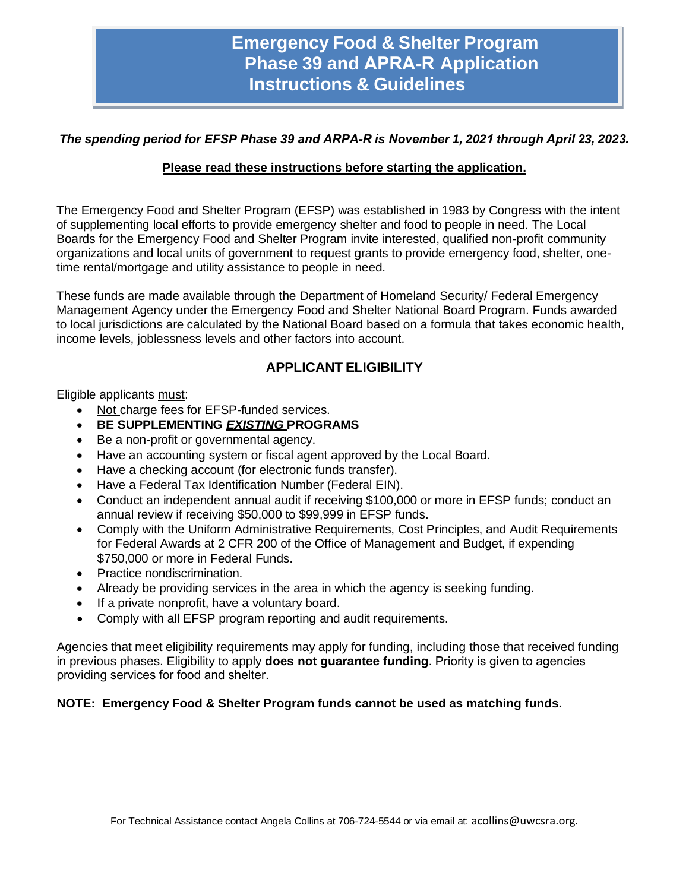# **Emergency Food & Shelter Program Phase 39 and APRA-R Application Instructions & Guidelines**

### *The spending period for EFSP Phase 39 and ARPA-R is November 1, 2021 through April 23, 2023.*

### **Please read these instructions before starting the application.**

The Emergency Food and Shelter Program (EFSP) was established in 1983 by Congress with the intent of supplementing local efforts to provide emergency shelter and food to people in need. The Local Boards for the Emergency Food and Shelter Program invite interested, qualified non-profit community organizations and local units of government to request grants to provide emergency food, shelter, onetime rental/mortgage and utility assistance to people in need.

These funds are made available through the Department of Homeland Security/ Federal Emergency Management Agency under the Emergency Food and Shelter National Board Program. Funds awarded to local jurisdictions are calculated by the National Board based on a formula that takes economic health, income levels, joblessness levels and other factors into account.

# **APPLICANT ELIGIBILITY**

Eligible applicants must:

- Not charge fees for EFSP-funded services.
- **BE SUPPLEMENTING** *EXISTING* **PROGRAMS**
- Be a non-profit or governmental agency.
- Have an accounting system or fiscal agent approved by the Local Board.
- Have a checking account (for electronic funds transfer).
- Have a Federal Tax Identification Number (Federal EIN).
- Conduct an independent annual audit if receiving \$100,000 or more in EFSP funds; conduct an annual review if receiving \$50,000 to \$99,999 in EFSP funds.
- Comply with the Uniform Administrative Requirements, Cost Principles, and Audit Requirements for Federal Awards at 2 CFR 200 of the Office of Management and Budget, if expending \$750,000 or more in Federal Funds.
- Practice nondiscrimination.
- Already be providing services in the area in which the agency is seeking funding.
- If a private nonprofit, have a voluntary board.
- Comply with all EFSP program reporting and audit requirements.

Agencies that meet eligibility requirements may apply for funding, including those that received funding in previous phases. Eligibility to apply **does not guarantee funding**. Priority is given to agencies providing services for food and shelter.

### **NOTE: Emergency Food & Shelter Program funds cannot be used as matching funds.**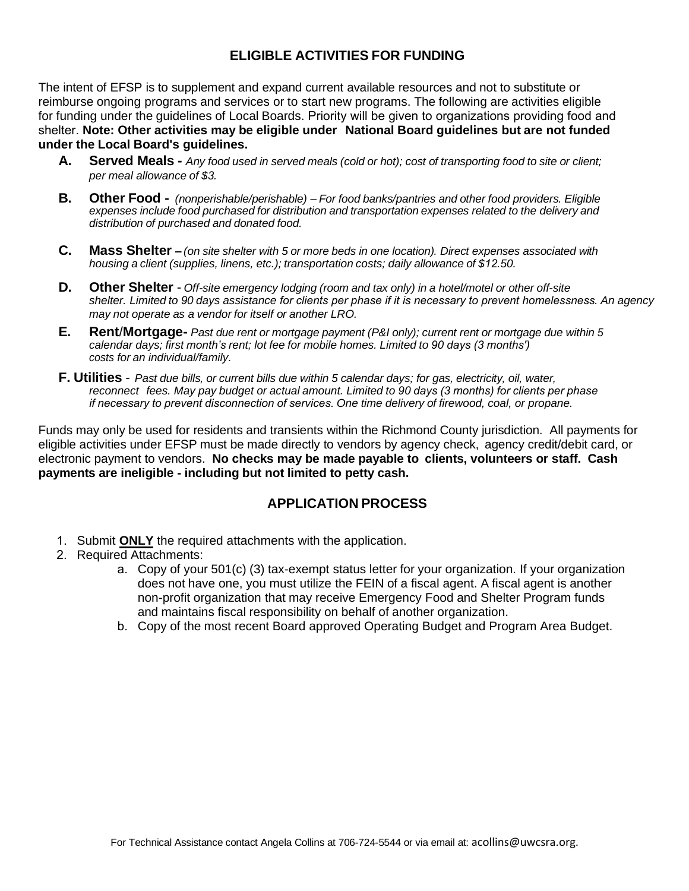# **ELIGIBLE ACTIVITIES FOR FUNDING**

The intent of EFSP is to supplement and expand current available resources and not to substitute or reimburse ongoing programs and services or to start new programs. The following are activities eligible for funding under the guidelines of Local Boards. Priority will be given to organizations providing food and shelter. **Note: Other activities may be eligible under National Board guidelines but are not funded under the Local Board's guidelines.**

- A. Served Meals Any food used in served meals (cold or hot); cost of transporting food to site or client; *per meal allowance of \$3.*
- **B. Other Food -** *(nonperishable/perishable) For food banks/pantries and other food providers. Eligible expenses include food purchased for distribution and transportation expenses related to the delivery and distribution of purchased and donated food.*
- C. Mass Shelter (on site shelter with 5 or more beds in one location). Direct expenses associated with *housing a client (supplies, linens, etc.); transportation costs; daily allowance of \$12.50.*
- **D. Other Shelter** *Off-site emergency lodging (room and tax only) in a hotel/motel or other off-site shelter. Limited to 90 days assistance for clients per phase if it is necessary to prevent homelessness. An agency may not operate as a vendor for itself or another LRO.*
- E. Rent/Mortgage- Past due rent or mortgage payment (P&I only); current rent or mortgage due within 5 *calendar days; first month's rent; lot fee for mobile homes. Limited to 90 days (3 months') costs for an individual/family.*
- F. Utilities Past due bills, or current bills due within 5 calendar days; for gas, electricity, oil, water, *reconnect fees. May pay budget or actual amount. Limited to 90 days (3 months) for clients per phase if necessary to prevent disconnection of services. One time delivery of firewood, coal, or propane.*

Funds may only be used for residents and transients within the Richmond County jurisdiction. All payments for eligible activities under EFSP must be made directly to vendors by agency check, agency credit/debit card, or electronic payment to vendors. **No checks may be made payable to clients, volunteers or staff. Cash payments are ineligible - including but not limited to petty cash.**

# **APPLICATION PROCESS**

- 1. Submit **ONLY** the required attachments with the application.
- 2. Required Attachments:
	- a. Copy of your 501(c) (3) tax-exempt status letter for your organization. If your organization does not have one, you must utilize the FEIN of a fiscal agent. A fiscal agent is another non-profit organization that may receive Emergency Food and Shelter Program funds and maintains fiscal responsibility on behalf of another organization.
	- b. Copy of the most recent Board approved Operating Budget and Program Area Budget.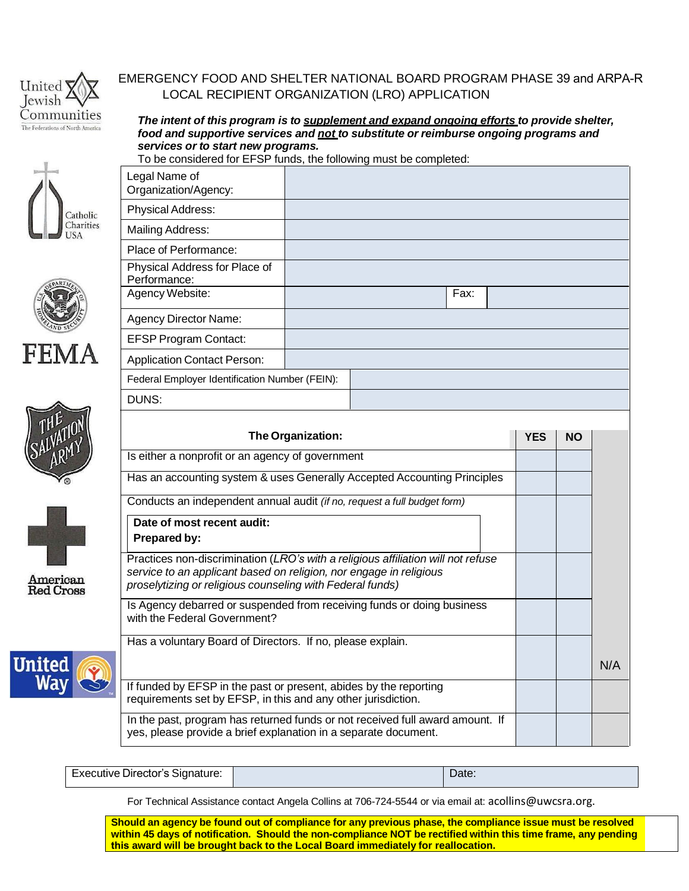

# EMERGENCY FOOD AND SHELTER NATIONAL BOARD PROGRAM PHASE 39 and ARPA-R LOCAL RECIPIENT ORGANIZATION (LRO) APPLICATION

*The intent of this program is to supplement and expand ongoing efforts to provide shelter, food and supportive services and not to substitute or reimburse ongoing programs and services or to start new programs.*

To be considered for EFSP funds, the following must be completed:





Legal Name of Organization/Agency: Physical Address: Mailing Address:







Executive Director's Signature: Network and the Contract of Contract Date:

For Technical Assistance contact Angela Collins at 706-724-5544 or via email at: acollins@uwcsra.org.

**Should an agency be found out of compliance for any previous phase, the compliance issue must be resolved within 45 days of notification. Should the non-compliance NOT be rectified within this time frame, any pending this award will be brought back to the Local Board immediately for reallocation.**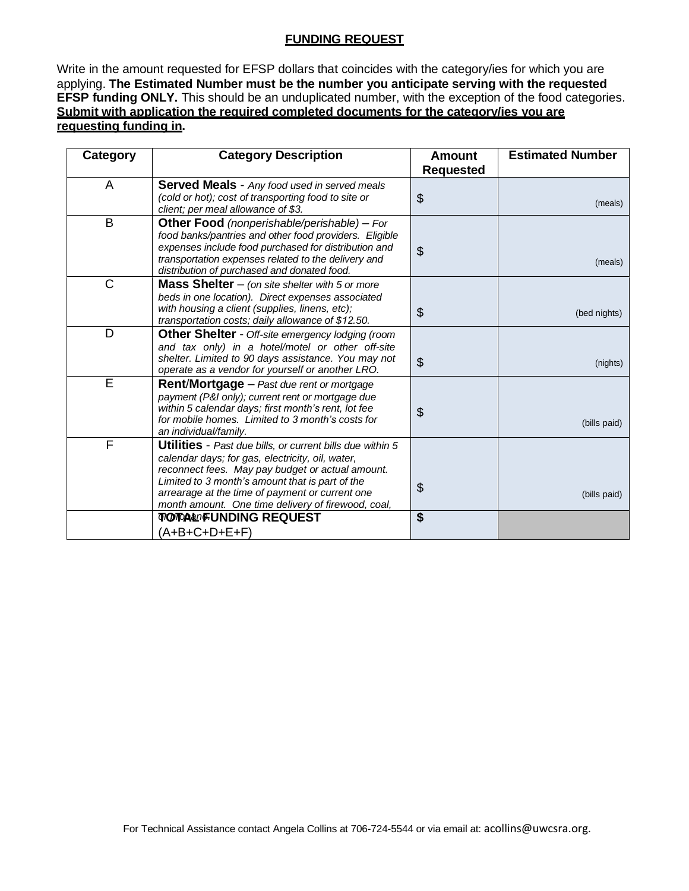#### **FUNDING REQUEST**

Write in the amount requested for EFSP dollars that coincides with the category/ies for which you are applying. **The Estimated Number must be the number you anticipate serving with the requested EFSP funding ONLY.** This should be an unduplicated number, with the exception of the food categories. **Submit with application the required completed documents for the category/ies you are requesting funding in.**

| Category       | <b>Category Description</b>                                                                                                                                                                                                                                                                                                          | <b>Amount</b>    | <b>Estimated Number</b> |
|----------------|--------------------------------------------------------------------------------------------------------------------------------------------------------------------------------------------------------------------------------------------------------------------------------------------------------------------------------------|------------------|-------------------------|
|                |                                                                                                                                                                                                                                                                                                                                      | <b>Requested</b> |                         |
| A              | <b>Served Meals</b> - Any food used in served meals<br>(cold or hot); cost of transporting food to site or<br>client; per meal allowance of \$3.                                                                                                                                                                                     | \$               | (meals)                 |
| B              | Other Food (nonperishable/perishable) - For<br>food banks/pantries and other food providers. Eligible<br>expenses include food purchased for distribution and<br>transportation expenses related to the delivery and<br>distribution of purchased and donated food.                                                                  | \$               | (meals)                 |
| $\mathsf{C}$   | <b>Mass Shelter</b> $-$ (on site shelter with 5 or more<br>beds in one location). Direct expenses associated<br>with housing a client (supplies, linens, etc);<br>transportation costs; daily allowance of \$12.50.                                                                                                                  | \$               | (bed nights)            |
| D              | Other Shelter - Off-site emergency lodging (room<br>and tax only) in a hotel/motel or other off-site<br>shelter. Limited to 90 days assistance. You may not<br>operate as a vendor for yourself or another LRO.                                                                                                                      | $\mathfrak{S}$   | (nights)                |
| $\overline{E}$ | <b>Rent/Mortgage</b> - Past due rent or mortgage<br>payment (P&I only); current rent or mortgage due<br>within 5 calendar days; first month's rent, lot fee<br>for mobile homes. Limited to 3 month's costs for<br>an individual/family.                                                                                             | \$               | (bills paid)            |
| F              | <b>Utilities</b> - Past due bills, or current bills due within 5<br>calendar days; for gas, electricity, oil, water,<br>reconnect fees. May pay budget or actual amount.<br>Limited to 3 month's amount that is part of the<br>arrearage at the time of payment or current one<br>month amount. One time delivery of firewood, coal, | \$               | (bills paid)            |
|                | <b>TOTALIFUNDING REQUEST</b><br>(A+B+C+D+E+F)                                                                                                                                                                                                                                                                                        | \$               |                         |